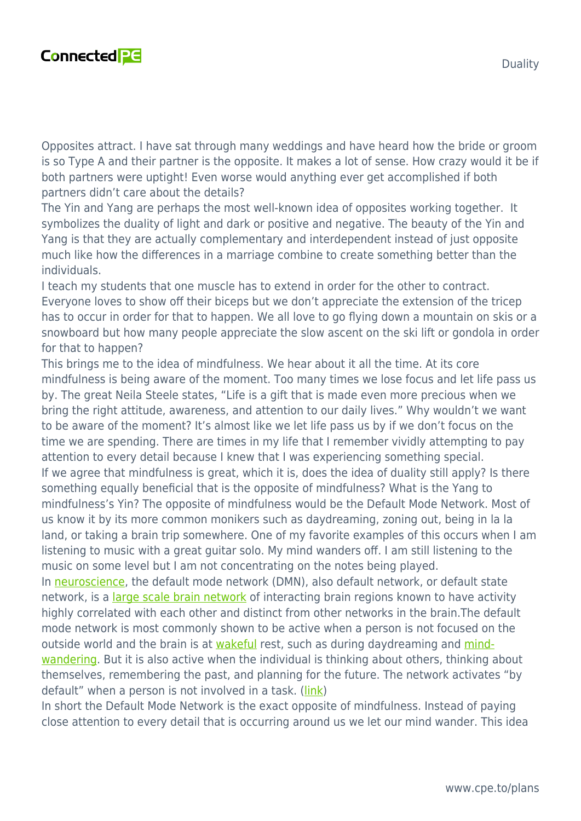

Opposites attract. I have sat through many weddings and have heard how the bride or groom is so Type A and their partner is the opposite. It makes a lot of sense. How crazy would it be if

both partners were uptight! Even worse would anything ever get accomplished if both partners didn't care about the details?

The Yin and Yang are perhaps the most well-known idea of opposites working together. It symbolizes the duality of light and dark or positive and negative. The beauty of the Yin and Yang is that they are actually complementary and interdependent instead of just opposite much like how the differences in a marriage combine to create something better than the individuals.

I teach my students that one muscle has to extend in order for the other to contract. Everyone loves to show off their biceps but we don't appreciate the extension of the tricep has to occur in order for that to happen. We all love to go flying down a mountain on skis or a snowboard but how many people appreciate the slow ascent on the ski lift or gondola in order for that to happen?

This brings me to the idea of mindfulness. We hear about it all the time. At its core mindfulness is being aware of the moment. Too many times we lose focus and let life pass us by. The great Neila Steele states, "Life is a gift that is made even more precious when we bring the right attitude, awareness, and attention to our daily lives." Why wouldn't we want to be aware of the moment? It's almost like we let life pass us by if we don't focus on the time we are spending. There are times in my life that I remember vividly attempting to pay attention to every detail because I knew that I was experiencing something special. If we agree that mindfulness is great, which it is, does the idea of duality still apply? Is there something equally beneficial that is the opposite of mindfulness? What is the Yang to mindfulness's Yin? The opposite of mindfulness would be the Default Mode Network. Most of us know it by its more common monikers such as daydreaming, zoning out, being in la la land, or taking a brain trip somewhere. One of my favorite examples of this occurs when I am listening to music with a great guitar solo. My mind wanders off. I am still listening to the music on some level but I am not concentrating on the notes being played.

In [neuroscience,](https://en.wikipedia.org/wiki/Neuroscience) the default mode network (DMN), also default network, or default state network, is a [large scale brain network](https://en.wikipedia.org/wiki/Large_scale_brain_networks) of interacting brain regions known to have activity highly correlated with each other and distinct from other networks in the brain.The default mode network is most commonly shown to be active when a person is not focused on the outside world and the brain is at [wakeful](https://en.wikipedia.org/wiki/Wakefulness) rest, such as during daydreaming and [mind](https://en.wikipedia.org/wiki/Mind-wandering)[wandering](https://en.wikipedia.org/wiki/Mind-wandering). But it is also active when the individual is thinking about others, thinking about themselves, remembering the past, and planning for the future. The network activates "by default" when a person is not involved in a task. [\(link](https://en.wikipedia.org/wiki/Default_mode_network))

In short the Default Mode Network is the exact opposite of mindfulness. Instead of paying close attention to every detail that is occurring around us we let our mind wander. This idea